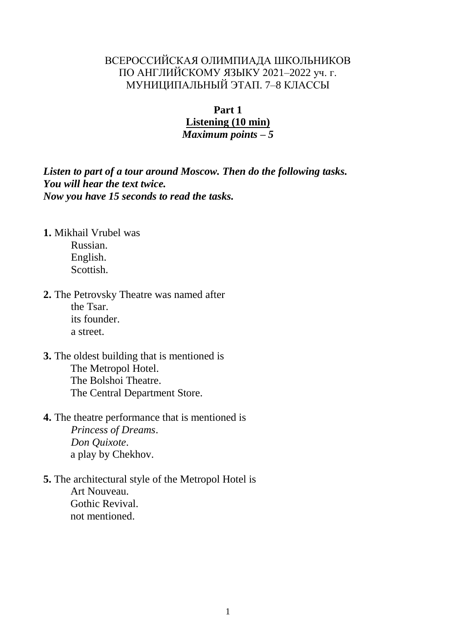# ВСЕРОССИЙСКАЯ ОЛИМПИАДА ШКОЛЬНИКОВ ПО АНГЛИЙСКОМУ ЯЗЫКУ 2021–2022 уч. г. МУНИЦИПАЛЬНЫЙ ЭТАП. 7–8 КЛАССЫ

#### **Part 1**

# **Listening (10 min)**

*Maximum points – 5*

*Listen to part of a tour around Moscow. Then do the following tasks. You will hear the text twice. Now you have 15 seconds to read the tasks.*

- **1.** Mikhail Vrubel was Russian. English. Scottish.
- **2.** The Petrovsky Theatre was named after the Tsar. its founder. a street.
- **3.** The oldest building that is mentioned is The Metropol Hotel. The Bolshoi Theatre. The Central Department Store.
- **4.** The theatre performance that is mentioned is *Princess of Dreams*. *Don Quixote*. a play by Chekhov.
- **5.** The architectural style of the Metropol Hotel is Art Nouveau. Gothic Revival. not mentioned.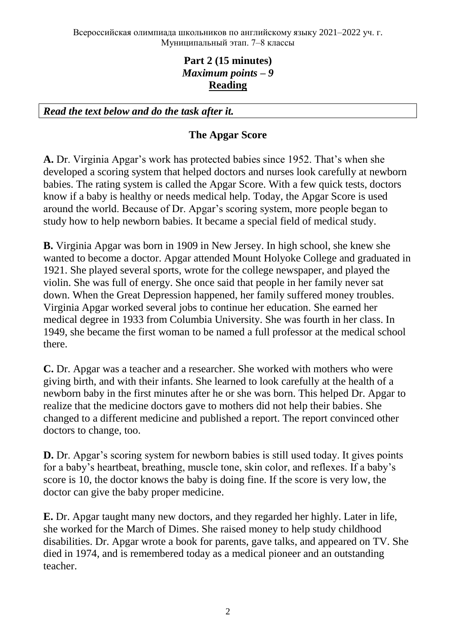# **Part 2 (15 minutes)** *Maximum points – 9* **Reading**

*Read the text below and do the task after it.*

# **The Apgar Score**

**A.** Dr. Virginia Apgar's work has protected babies since 1952. That's when she developed a scoring system that helped doctors and nurses look carefully at newborn babies. The rating system is called the Apgar Score. With a few quick tests, doctors know if a baby is healthy or needs medical help. Today, the Apgar Score is used around the world. Because of Dr. Apgar's scoring system, more people began to study how to help newborn babies. It became a special field of medical study.

**B.** Virginia Apgar was born in 1909 in New Jersey. In high school, she knew she wanted to become a doctor. Apgar attended Mount Holyoke College and graduated in 1921. She played several sports, wrote for the college newspaper, and played the violin. She was full of energy. She once said that people in her family never sat down. When the Great Depression happened, her family suffered money troubles. Virginia Apgar worked several jobs to continue her education. She earned her medical degree in 1933 from Columbia University. She was fourth in her class. In 1949, she became the first woman to be named a full professor at the medical school there.

**C.** Dr. Apgar was a teacher and a researcher. She worked with mothers who were giving birth, and with their infants. She learned to look carefully at the health of a newborn baby in the first minutes after he or she was born. This helped Dr. Apgar to realize that the medicine doctors gave to mothers did not help their babies. She changed to a different medicine and published a report. The report convinced other doctors to change, too.

**D.** Dr. Apgar's scoring system for newborn babies is still used today. It gives points for a baby's heartbeat, breathing, muscle tone, skin color, and reflexes. If a baby's score is 10, the doctor knows the baby is doing fine. If the score is very low, the doctor can give the baby proper medicine.

**E.** Dr. Apgar taught many new doctors, and they regarded her highly. Later in life, she worked for the March of Dimes. She raised money to help study childhood disabilities. Dr. Apgar wrote a book for parents, gave talks, and appeared on TV. She died in 1974, and is remembered today as a medical pioneer and an outstanding teacher.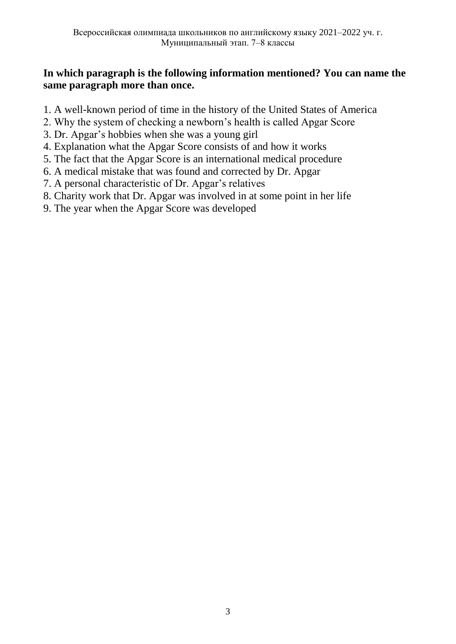# **In which paragraph is the following information mentioned? You can name the same paragraph more than once.**

- 1. A well-known period of time in the history of the United States of America
- 2. Why the system of checking a newborn's health is called Apgar Score
- 3. Dr. Apgar's hobbies when she was a young girl
- 4. Explanation what the Apgar Score consists of and how it works
- 5. The fact that the Apgar Score is an international medical procedure
- 6. A medical mistake that was found and corrected by Dr. Apgar
- 7. A personal characteristic of Dr. Apgar's relatives
- 8. Charity work that Dr. Apgar was involved in at some point in her life
- 9. The year when the Apgar Score was developed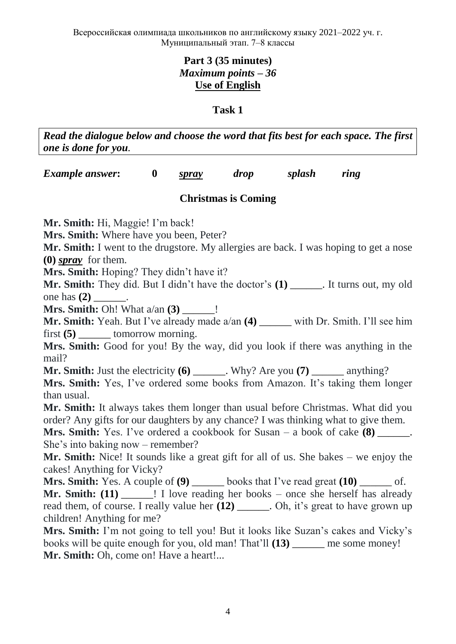# **Part 3 (35 minutes)** *Maximum points – 36* **Use of English**

#### **Task 1**

*Read the dialogue below and choose the word that fits best for each space. The first one is done for you.*

*Example answer***: 0** *spray drop splash ring*

## **Christmas is Coming**

**Mr. Smith:** Hi, Maggie! I'm back!

**Mrs. Smith:** Where have you been, Peter?

**Mr. Smith:** I went to the drugstore. My allergies are back. I was hoping to get a nose **(0)** *spray* for them.

**Mrs. Smith:** Hoping? They didn't have it?

**Mr. Smith:** They did. But I didn't have the doctor's **(1)** \_\_\_\_\_\_. It turns out, my old one has **(2)** \_\_\_\_\_\_.

**Mrs. Smith:** Oh! What a/an **(3)** \_\_\_\_\_\_!

**Mr. Smith:** Yeah. But I've already made a/an **(4)** \_\_\_\_\_\_ with Dr. Smith. I'll see him first **(5)** tomorrow morning.

**Mrs. Smith:** Good for you! By the way, did you look if there was anything in the mail?

**Mr. Smith:** Just the electricity **(6)** \_\_\_\_\_\_. Why? Are you **(7)** \_\_\_\_\_\_ anything?

**Mrs. Smith:** Yes, I've ordered some books from Amazon. It's taking them longer than usual.

**Mr. Smith:** It always takes them longer than usual before Christmas. What did you order? Any gifts for our daughters by any chance? I was thinking what to give them.

**Mrs. Smith:** Yes. I've ordered a cookbook for Susan – a book of cake **(8)** She's into baking now – remember?

**Mr. Smith:** Nice! It sounds like a great gift for all of us. She bakes – we enjoy the cakes! Anything for Vicky?

**Mrs. Smith:** Yes. A couple of **(9)** \_\_\_\_\_\_ books that I've read great **(10)** \_\_\_\_\_\_ of. **Mr. Smith:** (11)  $\qquad$  I love reading her books – once she herself has already read them, of course. I really value her **(12)** \_\_\_\_\_\_. Oh, it's great to have grown up children! Anything for me?

**Mrs. Smith:** I'm not going to tell you! But it looks like Suzan's cakes and Vicky's books will be quite enough for you, old man! That'll **(13)** \_\_\_\_\_\_ me some money! Mr. Smith: Oh, come on! Have a heart!...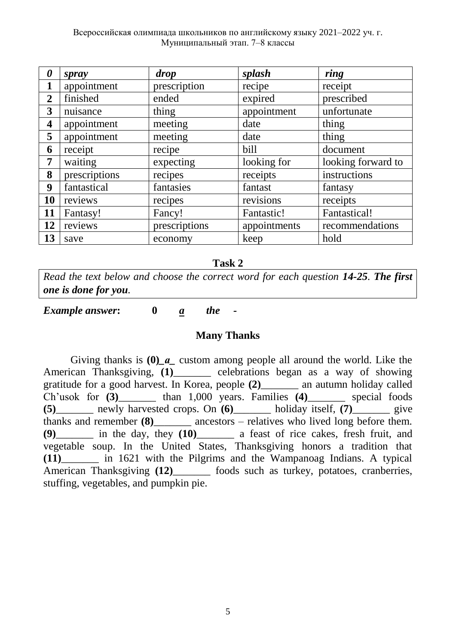| 0                       | spray         | drop          | splash       | ring               |
|-------------------------|---------------|---------------|--------------|--------------------|
| $\mathbf{1}$            | appointment   | prescription  | recipe       | receipt            |
| $\overline{2}$          | finished      | ended         | expired      | prescribed         |
| 3                       | nuisance      | thing         | appointment  | unfortunate        |
| $\overline{\mathbf{4}}$ | appointment   | meeting       | date         | thing              |
| 5                       | appointment   | meeting       | date         | thing              |
| 6                       | receipt       | recipe        | bill         | document           |
| 7                       | waiting       | expecting     | looking for  | looking forward to |
| 8                       | prescriptions | recipes       | receipts     | instructions       |
| 9                       | fantastical   | fantasies     | fantast      | fantasy            |
| 10                      | reviews       | recipes       | revisions    | receipts           |
| 11                      | Fantasy!      | Fancy!        | Fantastic!   | Fantastical!       |
| 12                      | reviews       | prescriptions | appointments | recommendations    |
| 13                      | save          | economy       | keep         | hold               |

#### **Task 2**

*Read the text below and choose the correct word for each question 14-25. The first one is done for you.*

*Example answer***: 0** *a the -*

#### **Many Thanks**

Giving thanks is **(0)***\_а\_* custom among people all around the world. Like the American Thanksgiving, **(1)**\_\_\_\_\_\_\_ celebrations began as a way of showing gratitude for a good harvest. In Korea, people **(2)**\_\_\_\_\_\_\_ an autumn holiday called Ch'usok for **(3)**\_\_\_\_\_\_\_ than 1,000 years. Families **(4)**\_\_\_\_\_\_\_ special foods **(5)**\_\_\_\_\_\_\_ newly harvested crops. On **(6)**\_\_\_\_\_\_\_ holiday itself, **(7)**\_\_\_\_\_\_\_ give thanks and remember **(8)** ancestors – relatives who lived long before them. **(9)**\_\_\_\_\_\_\_ in the day, they **(10)**\_\_\_\_\_\_\_ a feast of rice cakes, fresh fruit, and vegetable soup. In the United States, Thanksgiving honors a tradition that **(11)**\_\_\_\_\_\_\_ in 1621 with the Pilgrims and the Wampanoag Indians. A typical American Thanksgiving (12) foods such as turkey, potatoes, cranberries, stuffing, vegetables, and pumpkin pie.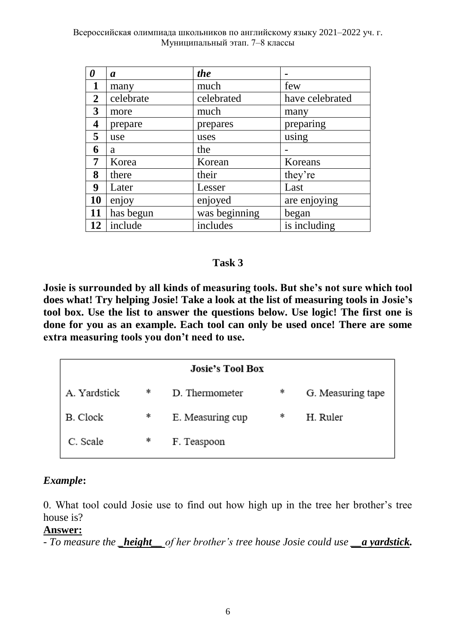Всероссийская олимпиада школьников по английскому языку 2021–2022 уч. г. Муниципальный этап. 7–8 классы

| $\boldsymbol{\theta}$   | $\boldsymbol{a}$ | the           |                 |
|-------------------------|------------------|---------------|-----------------|
| 1                       | many             | much          | few             |
| $\boldsymbol{2}$        | celebrate        | celebrated    | have celebrated |
| 3                       | more             | much          | many            |
| $\overline{\mathbf{4}}$ | prepare          | prepares      | preparing       |
| 5                       | use              | uses          | using           |
| 6                       | a                | the           |                 |
| 7                       | Korea            | Korean        | Koreans         |
| 8                       | there            | their         | they're         |
| 9                       | Later            | Lesser        | Last            |
| 10                      | enjoy            | enjoyed       | are enjoying    |
| 11                      | has begun        | was beginning | began           |
| 12                      | include          | includes      | is including    |

#### **Task 3**

**Josie is surrounded by all kinds of measuring tools. But she's not sure which tool does what! Try helping Josie! Take a look at the list of measuring tools in Josie's tool box. Use the list to answer the questions below. Use logic! The first one is done for you as an example. Each tool can only be used once! There are some extra measuring tools you don't need to use.**

|                 |   | <b>Josie's Tool Box</b> |   |                   |
|-----------------|---|-------------------------|---|-------------------|
| A. Yardstick    | * | D. Thermometer          | * | G. Measuring tape |
| <b>B.</b> Clock | * | E. Measuring cup        | * | H. Ruler          |
| C. Scale        | * | F. Teaspoon             |   |                   |

## *Example***:**

0. What tool could Josie use to find out how high up in the tree her brother's tree house is?

#### **Answer:**

*- To measure the height of her brother's tree house Josie could use a yardstick.*